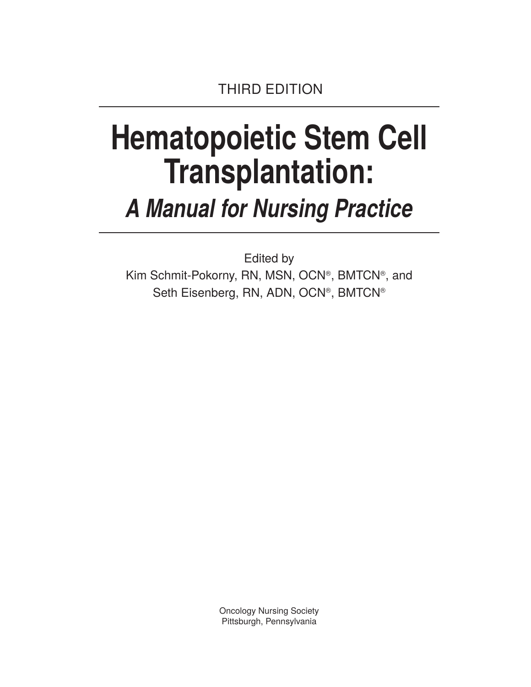# **Hematopoietic Stem Cell Transplantation:**

## *A Manual for Nursing Practice*

Edited by Kim Schmit-Pokorny, RN, MSN, OCN®, BMTCN®, and Seth Eisenberg, RN, ADN, OCN®, BMTCN®

> Oncology Nursing Society Pittsburgh, Pennsylvania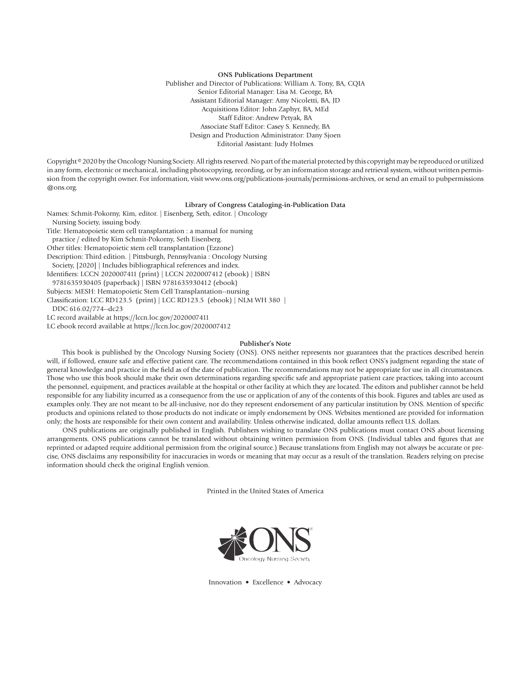#### **ONS Publications Department**

Publisher and Director of Publications: William A. Tony, BA, CQIA Senior Editorial Manager: Lisa M. George, BA Assistant Editorial Manager: Amy Nicoletti, BA, JD Acquisitions Editor: John Zaphyr, BA, MEd Staff Editor: Andrew Petyak, BA Associate Staff Editor: Casey S. Kennedy, BA Design and Production Administrator: Dany Sjoen Editorial Assistant: Judy Holmes

Copyright © 2020 by the Oncology Nursing Society. All rights reserved. No part of the material protected by this copyright may be reproduced or utilized in any form, electronic or mechanical, including photocopying, recording, or by an information storage and retrieval system, without written permission from the copyright owner. For information, visit www.ons.org/publications-journals/permissions-archives, or send an email to pubpermissions @ons.org.

#### **Library of Congress Cataloging-in-Publication Data**

Names: Schmit-Pokorny, Kim, editor. | Eisenberg, Seth, editor. | Oncology Nursing Society, issuing body. Title: Hematopoietic stem cell transplantation : a manual for nursing practice / edited by Kim Schmit-Pokorny, Seth Eisenberg. Other titles: Hematopoietic stem cell transplantation (Ezzone) Description: Third edition. | Pittsburgh, Pennsylvania : Oncology Nursing Society, [2020] | Includes bibliographical references and index. Identifiers: LCCN 2020007411 (print) | LCCN 2020007412 (ebook) | ISBN 9781635930405 (paperback) | ISBN 9781635930412 (ebook) Subjects: MESH: Hematopoietic Stem Cell Transplantation--nursing Classification: LCC RD123.5 (print) | LCC RD123.5 (ebook) | NLM WH 380 | DDC 616.02/774--dc23 LC record available at https://lccn.loc.gov/2020007411 LC ebook record available at https://lccn.loc.gov/2020007412

#### **Publisher's Note**

This book is published by the Oncology Nursing Society (ONS). ONS neither represents nor guarantees that the practices described herein will, if followed, ensure safe and effective patient care. The recommendations contained in this book reflect ONS's judgment regarding the state of general knowledge and practice in the field as of the date of publication. The recommendations may not be appropriate for use in all circumstances. Those who use this book should make their own determinations regarding specific safe and appropriate patient care practices, taking into account the personnel, equipment, and practices available at the hospital or other facility at which they are located. The editors and publisher cannot be held responsible for any liability incurred as a consequence from the use or application of any of the contents of this book. Figures and tables are used as examples only. They are not meant to be all-inclusive, nor do they represent endorsement of any particular institution by ONS. Mention of specific products and opinions related to those products do not indicate or imply endorsement by ONS. Websites mentioned are provided for information only; the hosts are responsible for their own content and availability. Unless otherwise indicated, dollar amounts reflect U.S. dollars.

ONS publications are originally published in English. Publishers wishing to translate ONS publications must contact ONS about licensing arrangements. ONS publications cannot be translated without obtaining written permission from ONS. (Individual tables and figures that are reprinted or adapted require additional permission from the original source.) Because translations from English may not always be accurate or precise, ONS disclaims any responsibility for inaccuracies in words or meaning that may occur as a result of the translation. Readers relying on precise information should check the original English version.

Printed in the United States of America



Innovation • Excellence • Advocacy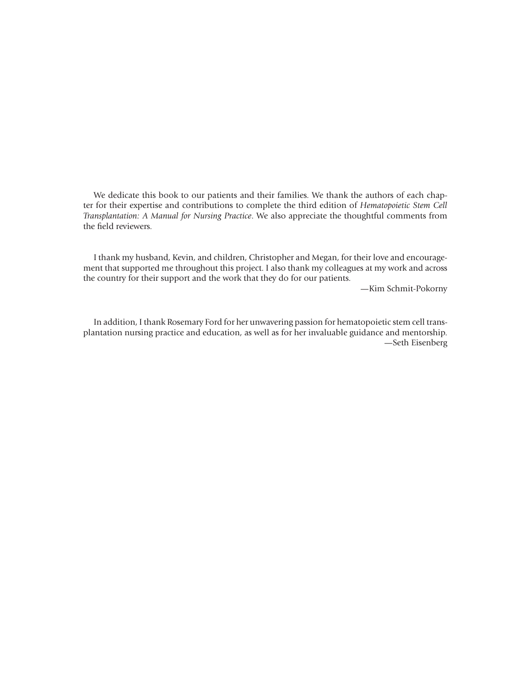We dedicate this book to our patients and their families. We thank the authors of each chapter for their expertise and contributions to complete the third edition of *Hematopoietic Stem Cell Transplantation: A Manual for Nursing Practice*. We also appreciate the thoughtful comments from the field reviewers.

I thank my husband, Kevin, and children, Christopher and Megan, for their love and encouragement that supported me throughout this project. I also thank my colleagues at my work and across the country for their support and the work that they do for our patients.

—Kim Schmit-Pokorny

In addition, I thank Rosemary Ford for her unwavering passion for hematopoietic stem cell transplantation nursing practice and education, as well as for her invaluable guidance and mentorship. —Seth Eisenberg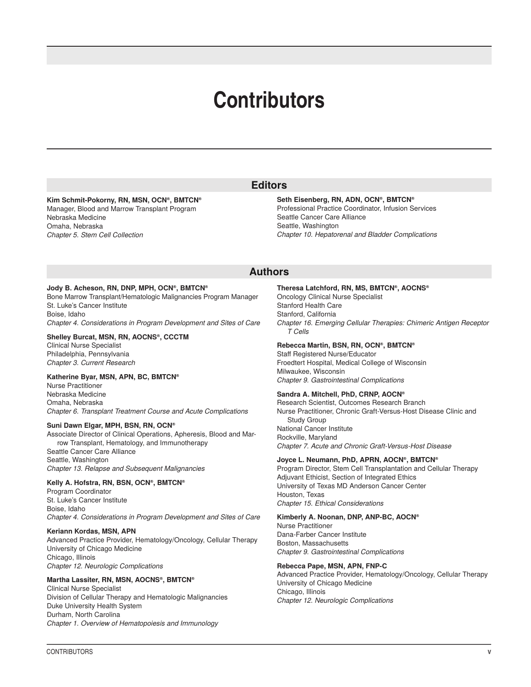### **Contributors**

#### **Kim Schmit-Pokorny, RN, MSN, OCN®, BMTCN®**

Manager, Blood and Marrow Transplant Program Nebraska Medicine Omaha, Nebraska *Chapter 5. Stem Cell Collection*

#### **Seth Eisenberg, RN, ADN, OCN®, BMTCN®** Professional Practice Coordinator, Infusion Services Seattle Cancer Care Alliance Seattle, Washington *Chapter 10. Hepatorenal and Bladder Complications*

#### **Authors**

**Editors**

#### **Jody B. Acheson, RN, DNP, MPH, OCN®, BMTCN®**

Bone Marrow Transplant/Hematologic Malignancies Program Manager St. Luke's Cancer Institute Boise, Idaho *Chapter 4. Considerations in Program Development and Sites of Care*

#### **Shelley Burcat, MSN, RN, AOCNS®, CCCTM**

Clinical Nurse Specialist Philadelphia, Pennsylvania *Chapter 3. Current Research*

#### **Katherine Byar, MSN, APN, BC, BMTCN®**

Nurse Practitioner Nebraska Medicine Omaha, Nebraska *Chapter 6. Transplant Treatment Course and Acute Complications*

#### **Suni Dawn Elgar, MPH, BSN, RN, OCN®**

Associate Director of Clinical Operations, Apheresis, Blood and Marrow Transplant, Hematology, and Immunotherapy Seattle Cancer Care Alliance Seattle, Washington

*Chapter 13. Relapse and Subsequent Malignancies*

#### **Kelly A. Hofstra, RN, BSN, OCN®, BMTCN®**

Program Coordinator St. Luke's Cancer Institute Boise, Idaho *Chapter 4. Considerations in Program Development and Sites of Care*

#### **Keriann Kordas, MSN, APN**

Advanced Practice Provider, Hematology/Oncology, Cellular Therapy University of Chicago Medicine Chicago, Illinois

*Chapter 12. Neurologic Complications*

#### **Martha Lassiter, RN, MSN, AOCNS®, BMTCN®**

Clinical Nurse Specialist Division of Cellular Therapy and Hematologic Malignancies Duke University Health System Durham, North Carolina *Chapter 1. Overview of Hematopoiesis and Immunology*

#### **Theresa Latchford, RN, MS, BMTCN®, AOCNS®**

Oncology Clinical Nurse Specialist Stanford Health Care Stanford, California *Chapter 16. Emerging Cellular Therapies: Chimeric Antigen Receptor T Cells*

#### **Rebecca Martin, BSN, RN, OCN®, BMTCN®**

Staff Registered Nurse/Educator Froedtert Hospital, Medical College of Wisconsin Milwaukee, Wisconsin *Chapter 9. Gastrointestinal Complications*

#### **Sandra A. Mitchell, PhD, CRNP, AOCN®**

Research Scientist, Outcomes Research Branch Nurse Practitioner, Chronic Graft-Versus-Host Disease Clinic and Study Group National Cancer Institute Rockville, Maryland *Chapter 7. Acute and Chronic Graft-Versus-Host Disease*

#### **Joyce L. Neumann, PhD, APRN, AOCN®, BMTCN®**

Program Director, Stem Cell Transplantation and Cellular Therapy Adjuvant Ethicist, Section of Integrated Ethics University of Texas MD Anderson Cancer Center Houston, Texas *Chapter 15. Ethical Considerations*

#### **Kimberly A. Noonan, DNP, ANP-BC, AOCN®**

Nurse Practitioner Dana-Farber Cancer Institute Boston, Massachusetts *Chapter 9. Gastrointestinal Complications*

#### **Rebecca Pape, MSN, APN, FNP-C**

Advanced Practice Provider, Hematology/Oncology, Cellular Therapy University of Chicago Medicine Chicago, Illinois *Chapter 12. Neurologic Complications*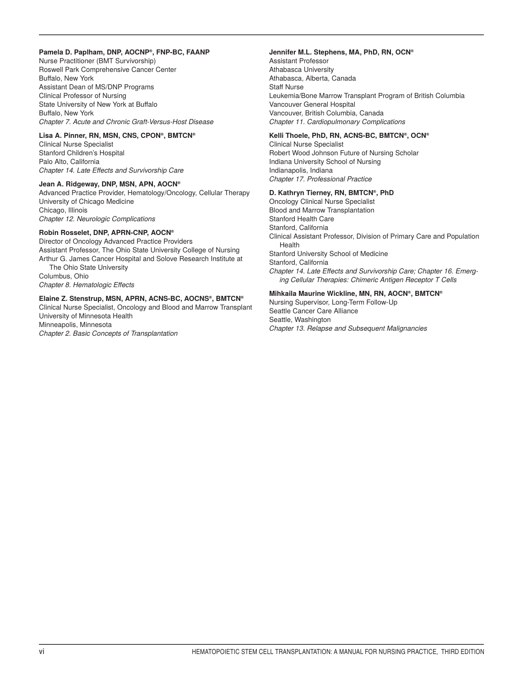#### **Pamela D. Paplham, DNP, AOCNP®, FNP-BC, FAANP**

Nurse Practitioner (BMT Survivorship) Roswell Park Comprehensive Cancer Center Buffalo, New York Assistant Dean of MS/DNP Programs Clinical Professor of Nursing State University of New York at Buffalo Buffalo, New York *Chapter 7. Acute and Chronic Graft-Versus-Host Disease*

#### **Lisa A. Pinner, RN, MSN, CNS, CPON®, BMTCN®**

Clinical Nurse Specialist Stanford Children's Hospital Palo Alto, California *Chapter 14. Late Effects and Survivorship Care*

#### **Jean A. Ridgeway, DNP, MSN, APN, AOCN®**

Advanced Practice Provider, Hematology/Oncology, Cellular Therapy University of Chicago Medicine Chicago, Illinois *Chapter 12. Neurologic Complications*

#### **Robin Rosselet, DNP, APRN-CNP, AOCN®**

Director of Oncology Advanced Practice Providers Assistant Professor, The Ohio State University College of Nursing Arthur G. James Cancer Hospital and Solove Research Institute at The Ohio State University Columbus, Ohio *Chapter 8. Hematologic Effects*

#### **Elaine Z. Stenstrup, MSN, APRN, ACNS-BC, AOCNS®, BMTCN®**

Clinical Nurse Specialist, Oncology and Blood and Marrow Transplant University of Minnesota Health Minneapolis, Minnesota *Chapter 2. Basic Concepts of Transplantation*

#### **Jennifer M.L. Stephens, MA, PhD, RN, OCN®**

Assistant Professor Athabasca University Athabasca, Alberta, Canada Staff Nurse Leukemia/Bone Marrow Transplant Program of British Columbia Vancouver General Hospital Vancouver, British Columbia, Canada *Chapter 11. Cardiopulmonary Complications*

#### **Kelli Thoele, PhD, RN, ACNS-BC, BMTCN®, OCN®**

Clinical Nurse Specialist Robert Wood Johnson Future of Nursing Scholar Indiana University School of Nursing Indianapolis, Indiana *Chapter 17. Professional Practice*

#### **D. Kathryn Tierney, RN, BMTCN®, PhD**

Oncology Clinical Nurse Specialist Blood and Marrow Transplantation Stanford Health Care Stanford, California Clinical Assistant Professor, Division of Primary Care and Population Health Stanford University School of Medicine Stanford, California *Chapter 14. Late Effects and Survivorship Care; Chapter 16. Emerging Cellular Therapies: Chimeric Antigen Receptor T Cells*

#### **Mihkaila Maurine Wickline, MN, RN, AOCN®, BMTCN®**

Nursing Supervisor, Long-Term Follow-Up Seattle Cancer Care Alliance Seattle, Washington *Chapter 13. Relapse and Subsequent Malignancies*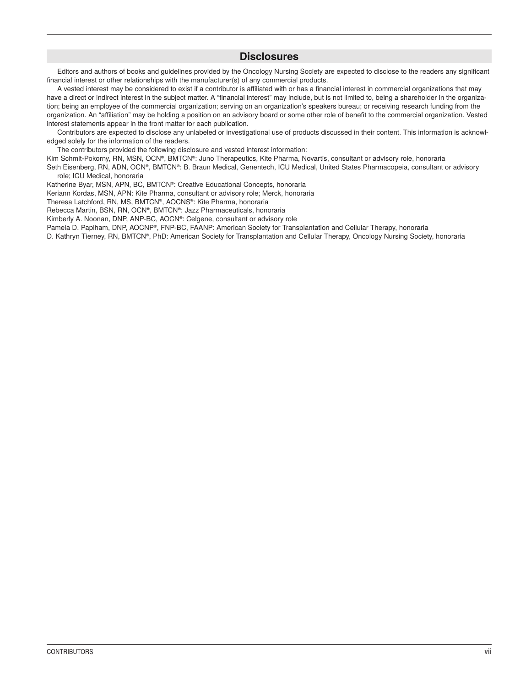#### **Disclosures**

Editors and authors of books and guidelines provided by the Oncology Nursing Society are expected to disclose to the readers any significant financial interest or other relationships with the manufacturer(s) of any commercial products.

A vested interest may be considered to exist if a contributor is affiliated with or has a financial interest in commercial organizations that may have a direct or indirect interest in the subject matter. A "financial interest" may include, but is not limited to, being a shareholder in the organization; being an employee of the commercial organization; serving on an organization's speakers bureau; or receiving research funding from the organization. An "affiliation" may be holding a position on an advisory board or some other role of benefit to the commercial organization. Vested interest statements appear in the front matter for each publication.

Contributors are expected to disclose any unlabeled or investigational use of products discussed in their content. This information is acknowledged solely for the information of the readers.

The contributors provided the following disclosure and vested interest information:

Kim Schmit-Pokorny, RN, MSN, OCN**®**, BMTCN**®**: Juno Therapeutics, Kite Pharma, Novartis, consultant or advisory role, honoraria

Seth Eisenberg, RN, ADN, OCN**®**, BMTCN**®**: B. Braun Medical, Genentech, ICU Medical, United States Pharmacopeia, consultant or advisory role; ICU Medical, honoraria

Katherine Byar, MSN, APN, BC, BMTCN**®**: Creative Educational Concepts, honoraria

Keriann Kordas, MSN, APN: Kite Pharma, consultant or advisory role; Merck, honoraria

Theresa Latchford, RN, MS, BMTCN**®**, AOCNS**®**: Kite Pharma, honoraria

Rebecca Martin, BSN, RN, OCN**®**, BMTCN**®**: Jazz Pharmaceuticals, honoraria

Kimberly A. Noonan, DNP, ANP-BC, AOCN**®**: Celgene, consultant or advisory role

Pamela D. Paplham, DNP, AOCNP**®**, FNP-BC, FAANP: American Society for Transplantation and Cellular Therapy, honoraria

D. Kathryn Tierney, RN, BMTCN**®**, PhD: American Society for Transplantation and Cellular Therapy, Oncology Nursing Society, honoraria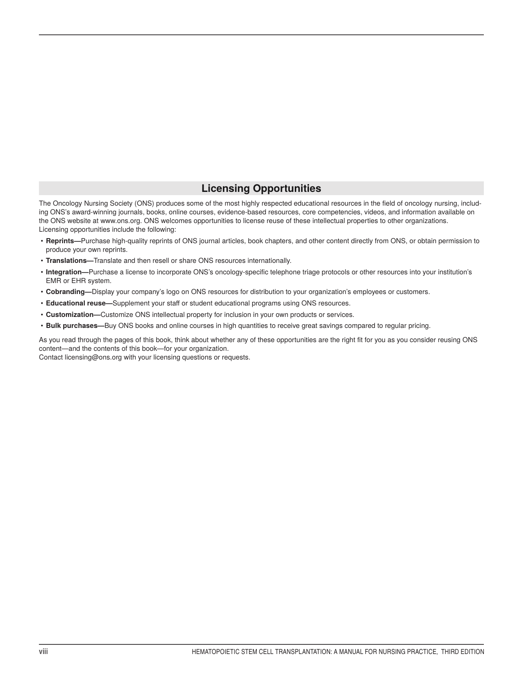#### **Licensing Opportunities**

The Oncology Nursing Society (ONS) produces some of the most highly respected educational resources in the field of oncology nursing, including ONS's award-winning journals, books, online courses, evidence-based resources, core competencies, videos, and information available on the ONS website at www.ons.org. ONS welcomes opportunities to license reuse of these intellectual properties to other organizations. Licensing opportunities include the following:

- **Reprints—**Purchase high-quality reprints of ONS journal articles, book chapters, and other content directly from ONS, or obtain permission to produce your own reprints.
- **Translations—**Translate and then resell or share ONS resources internationally.
- **Integration—**Purchase a license to incorporate ONS's oncology-specific telephone triage protocols or other resources into your institution's EMR or EHR system.
- **Cobranding—**Display your company's logo on ONS resources for distribution to your organization's employees or customers.
- **Educational reuse—**Supplement your staff or student educational programs using ONS resources.
- **Customization—**Customize ONS intellectual property for inclusion in your own products or services.
- **Bulk purchases—**Buy ONS books and online courses in high quantities to receive great savings compared to regular pricing.

As you read through the pages of this book, think about whether any of these opportunities are the right fit for you as you consider reusing ONS content—and the contents of this book—for your organization.

Contact licensing@ons.org with your licensing questions or requests.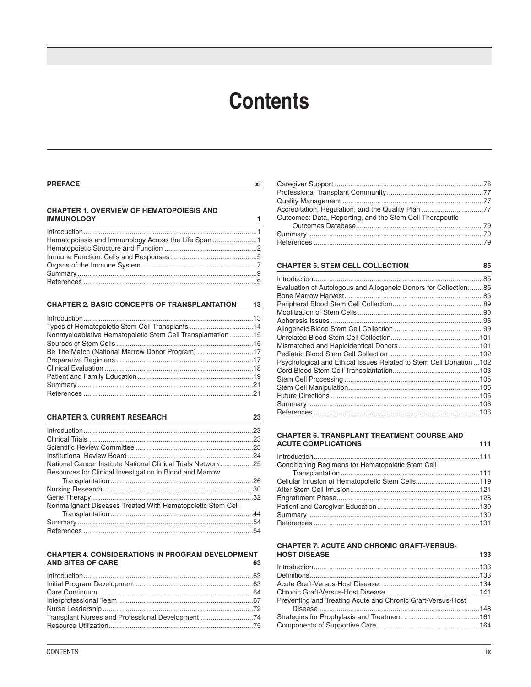### **Contents**

#### **PREFACE xi**

#### **CHAPTER 1. OVERVIEW OF HEMATOPOIESIS AND IMMUNOLOGY 1**

| Hematopoiesis and Immunology Across the Life Span 1 |  |
|-----------------------------------------------------|--|
|                                                     |  |
|                                                     |  |
|                                                     |  |
|                                                     |  |
|                                                     |  |

#### **CHAPTER 2. BASIC CONCEPTS OF TRANSPLANTATION 13**

| Introduction 13                                              |  |
|--------------------------------------------------------------|--|
|                                                              |  |
| Nonmyeloablative Hematopoietic Stem Cell Transplantation  15 |  |
|                                                              |  |
|                                                              |  |
|                                                              |  |
|                                                              |  |
|                                                              |  |
|                                                              |  |
|                                                              |  |

#### **CHAPTER 3. CURRENT RESEARCH 23**

|                                                              | .23 |
|--------------------------------------------------------------|-----|
|                                                              |     |
|                                                              |     |
|                                                              |     |
| National Cancer Institute National Clinical Trials Network25 |     |
| Resources for Clinical Investigation in Blood and Marrow     |     |
|                                                              |     |
|                                                              |     |
|                                                              |     |
| Nonmalignant Diseases Treated With Hematopoietic Stem Cell   |     |
|                                                              |     |
|                                                              |     |
|                                                              | .54 |

#### **CHAPTER 4. CONSIDERATIONS IN PROGRAM DEVELOPMENT AND SITES OF CARE 63**

| Transplant Nurses and Professional Development74 |  |
|--------------------------------------------------|--|
|                                                  |  |

| Accreditation, Regulation, and the Quality Plan 77       |  |
|----------------------------------------------------------|--|
| Outcomes: Data, Reporting, and the Stem Cell Therapeutic |  |
|                                                          |  |
|                                                          |  |
|                                                          |  |

#### **CHAPTER 5. STEM CELL COLLECTION 85**

| Evaluation of Autologous and Allogeneic Donors for Collection85    |  |
|--------------------------------------------------------------------|--|
|                                                                    |  |
|                                                                    |  |
|                                                                    |  |
|                                                                    |  |
|                                                                    |  |
|                                                                    |  |
|                                                                    |  |
|                                                                    |  |
| Psychological and Ethical Issues Related to Stem Cell Donation 102 |  |
|                                                                    |  |
|                                                                    |  |
|                                                                    |  |
|                                                                    |  |
|                                                                    |  |
|                                                                    |  |

#### **CHAPTER 6. TRANSPLANT TREATMENT COURSE AND ACUTE COMPLICATIONS 111**

| Cellular Infusion of Hematopoietic Stem Cells119 | AUDIL COMFLIGATIONS                               | <u>experience</u> and the state of the state of the state of the state of the state of the state of the state of the state of the state of the state of the state of the state of the state of the state of the state of the state |
|--------------------------------------------------|---------------------------------------------------|------------------------------------------------------------------------------------------------------------------------------------------------------------------------------------------------------------------------------------|
|                                                  |                                                   |                                                                                                                                                                                                                                    |
|                                                  | Conditioning Regimens for Hematopoietic Stem Cell |                                                                                                                                                                                                                                    |
|                                                  |                                                   |                                                                                                                                                                                                                                    |
|                                                  |                                                   |                                                                                                                                                                                                                                    |
|                                                  |                                                   |                                                                                                                                                                                                                                    |
|                                                  |                                                   |                                                                                                                                                                                                                                    |
|                                                  |                                                   |                                                                                                                                                                                                                                    |
|                                                  |                                                   |                                                                                                                                                                                                                                    |
|                                                  |                                                   |                                                                                                                                                                                                                                    |

#### **CHAPTER 7. ACUTE AND CHRONIC GRAFT-VERSUS-HOST DISEASE 133**

| the control of the control of the control of the control of the control of the control of the control of the control of<br>and the control of the control of the control of the control of the control of the control of the control of the |  |
|---------------------------------------------------------------------------------------------------------------------------------------------------------------------------------------------------------------------------------------------|--|
|                                                                                                                                                                                                                                             |  |
| Definitions…………………………………………………………………………133                                                                                                                                                                                                  |  |
|                                                                                                                                                                                                                                             |  |
|                                                                                                                                                                                                                                             |  |
| Preventing and Treating Acute and Chronic Graft-Versus-Host                                                                                                                                                                                 |  |
|                                                                                                                                                                                                                                             |  |
|                                                                                                                                                                                                                                             |  |
|                                                                                                                                                                                                                                             |  |
|                                                                                                                                                                                                                                             |  |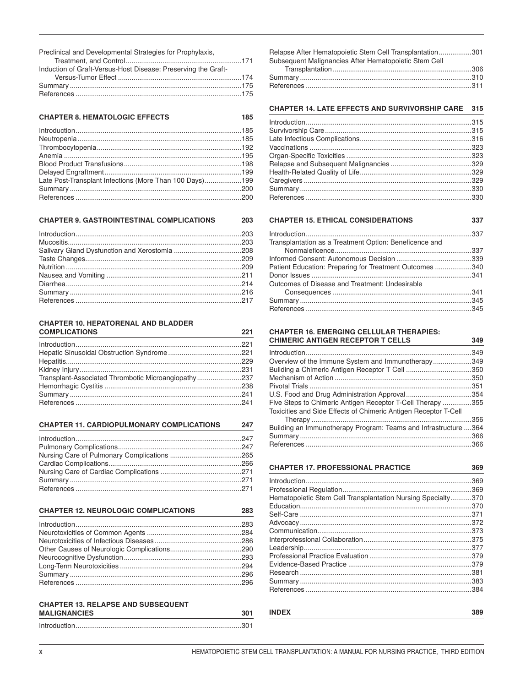Preclinical and Developmental Strategies for Prophylaxis,

| Induction of Graft-Versus-Host Disease: Preserving the Graft- |  |
|---------------------------------------------------------------|--|
|                                                               |  |
|                                                               |  |
|                                                               |  |

| <b>CHAPTER 8. HEMATOLOGIC EFFECTS</b> |  |
|---------------------------------------|--|
|                                       |  |

| Late Post-Transplant Infections (More Than 100 Days)199 |  |
|---------------------------------------------------------|--|
|                                                         |  |
|                                                         |  |

#### **CHAPTER 9. GASTROINTESTINAL COMPLICATIONS**

#### **CHAPTER 10. HEPATORENAL AND BLADDER COMPLICATIONS**

| Transplant-Associated Thrombotic Microangiopathy237 |
|-----------------------------------------------------|
|                                                     |
|                                                     |
|                                                     |
|                                                     |

#### **CHAPTER 11. CARDIOPULMONARY COMPLICATIONS** 247

| <b>CHAPTER 12. NEUROLOGIC COMPLICATIONS</b> | 283 |
|---------------------------------------------|-----|
|                                             |     |
|                                             |     |

#### **CHAPTER 13. RELAPSE AND SUBSEQUENT MALIGNANCIES**

| <b>MALIGNANCIES</b> | 30. |
|---------------------|-----|
|                     |     |

| Relapse After Hematopoietic Stem Cell Transplantation301<br>Subsequent Malignancies After Hematopoietic Stem Cell |  |
|-------------------------------------------------------------------------------------------------------------------|--|
|                                                                                                                   |  |
|                                                                                                                   |  |
|                                                                                                                   |  |

#### CHAPTER 14. LATE EFFECTS AND SURVIVORSHIP CARE 315

### **CHAPTER 15. ETHICAL CONSIDERATIONS**

| Transplantation as a Treatment Option: Beneficence and  |  |
|---------------------------------------------------------|--|
|                                                         |  |
|                                                         |  |
| Patient Education: Preparing for Treatment Outcomes 340 |  |
|                                                         |  |
| Outcomes of Disease and Treatment: Undesirable          |  |
|                                                         |  |
|                                                         |  |
|                                                         |  |

#### **CHAPTER 16. EMERGING CELLULAR THERAPIES: CHIMERIC ANTIGEN RECEPTOR T CELLS**

|                                                                 | .349 |
|-----------------------------------------------------------------|------|
|                                                                 | .349 |
|                                                                 | .350 |
|                                                                 | .350 |
|                                                                 | .351 |
|                                                                 |      |
| Five Steps to Chimeric Antigen Receptor T-Cell Therapy 355      |      |
| Toxicities and Side Effects of Chimeric Antigen Receptor T-Cell |      |
|                                                                 | .356 |
| Building an Immunotherapy Program: Teams and Infrastructure 364 |      |
|                                                                 |      |
|                                                                 |      |

**CHAPTER 17. PROFESSIONAL PRACTICE** 

369

337

349

| Hematopoietic Stem Cell Transplantation Nursing Specialty370 |  |
|--------------------------------------------------------------|--|
|                                                              |  |
|                                                              |  |
|                                                              |  |
|                                                              |  |
|                                                              |  |
|                                                              |  |
|                                                              |  |
|                                                              |  |
|                                                              |  |
|                                                              |  |
|                                                              |  |
|                                                              |  |

**INDEX** 

203

221